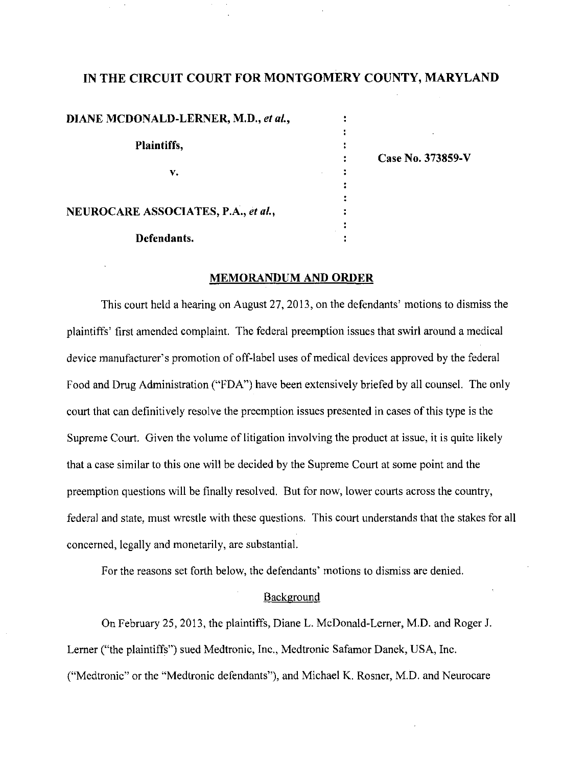# IN THE CIRCUIT COURT FOR MONTGOMERY COUNTY, MARYLAND

| DIANE MCDONALD-LERNER, M.D., et al., |                   |
|--------------------------------------|-------------------|
| Plaintiffs,                          |                   |
|                                      |                   |
|                                      | Case No. 373859-V |
| v.                                   |                   |
|                                      |                   |
|                                      |                   |
| NEUROCARE ASSOCIATES, P.A., et al.,  |                   |
|                                      |                   |
| Defendants.                          |                   |

#### MEMORANDUM AND ORDER

This court held a hearing on August 27, 2013, on the defendants' motions to dismiss the plaintiffs' first amended complaint. The federal preemption issues that swirl around a medical device manufacturer's promotion of off-label uses of medical devices approved by the federal Food and Drug Administration ("FDA") have been extensively briefed by all counsel. The only court that can definitively resolve the preemption issues presented in cases of this type is the Supreme Court. Given the volume of litigation involving the product at issue, it is quite likely that a case similar to this one will be decided by the Supreme Court at some point and the preemption questions will be finally resolved. But for now, lower courts across the country, federal and state, must wrestle with these questions. This court understands that the stakes for all concerned, legally and monetarily, are substantial.

For the reasons set forth below, the defendants' motions to dismiss are denied.

### Background

On February 25, 2013, the plaintiffs, Diane L. McDonald-Lerner, M.D. and Roger J. Lemer ("the plaintiffs") sued Medtronic, Inc., Medtronic Safamor Danek, USA, Inc. ("Medtronic" or the "Medtronic defendants"), and Michael K. Rosner, M.D. and Neurocare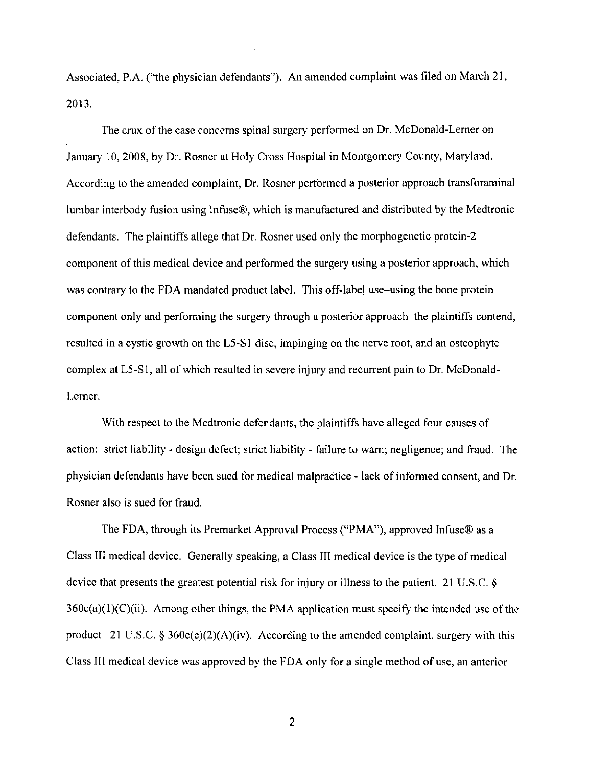Associated, P.A. ("the physician defendants"). An amended complaint was filed on March 21, 2013.

The crux of the case concerns spinal surgery performed on Dr. McDonald-Lerner on January 10, 2008, by Dr. Rosner at Holy Cross Hospital in Montgomery County, Maryland. According to the amended complaint, Dr. Rosner performed a posterior approach transforaminal lumbar interbody fusion using Infuse®, which is manufactured and distributed by the Medtronic defendants. The plaintiffs allege that Dr. Rosner used only the morphogenetic protein-2 component of this medical device and performed the surgery using a posterior approach, which was contrary to the FDA mandated product label. This off-label use-using the bone protein component only and performing the surgery through a posterior approach-the plaintiffs contend, resulted in a cystic growth on the L5-S1 disc, impinging on the nerve root, and an osteophyte complex at L5-S1, all of which resulted in severe injury and recurrent pain to Dr. McDonald-Lerner.

With respect to the Medtronic defendants, the plaintiffs have alleged four causes of action: strict liability - design defect; strict liability - failure to warn; negligence; and fraud. The physician defendants have been sued for medical malpractice - lack of informed consent, and Dr. Rosner also is sued for fraud.

The FDA, through its Premarket Approval Process ("PMA"), approved Infuse® as a Class III medical device. Generally speaking, a Class III medical device is the type of medical device that presents the greatest potential risk for injury or illness to the patient. 21 U.S.C. §  $360c(a)(1)(C)(ii)$ . Among other things, the PMA application must specify the intended use of the product. 21 U.S.C. § 360e(c)(2)(A)(iv). According to the amended complaint, surgery with this Class 111 medical device was approved by the FDA only for a single method of use, an anterior

 $\overline{2}$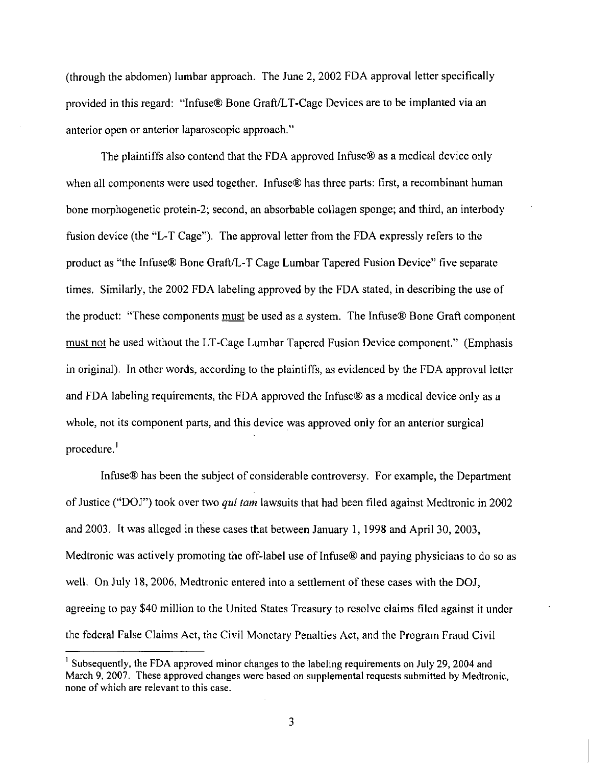(through the abdomen) lumbar approach. The June 2, 2002 FDA approval letter specifically provided in this regard: 'infuse® Bone Graft/LT-Cage Devices are to be implanted via an anterior open or anterior laparoscopic approach."

The plaintiffs also contend that the FDA approved Infuse® as a medical device only when all components were used together. Infuse<sup>®</sup> has three parts: first, a recombinant human bone morphogenetic protein-2; second, an absorbable collagen sponge; and third, an interbody fusion device (the "L-T Cage"). The approval letter from the FDA expressly refers to the product as "the Infuse® Bone Graft/L-T Cage Lumbar Tapered Fusion Device" five separate times. Similarly, the 2002 FDA labeling approved by the FDA stated, in describing the use of the product: "These components must be used as a system. The Infuse® Bone Graft component must not be used without the LT-Cage Lumbar Tapered Fusion Device component." (Emphasis in original). In other words, according to the plaintiffs, as evidenced by the FDA approval letter and FDA labeling requirements, the FDA approved the Infuse® as a medical device only as a whole, not its component parts, and this device was approved only for an anterior surgical procedure.

Infuse® has been the subject of considerable controversy. For example, the Department of Justice ("DOJ") took over two qui tarn lawsuits that had been filed against Medtronic in 2002 and 2003. It was alleged in these cases that between January 1, 1998 and April 30, 2003, Medtronic was actively promoting the off-label use of Infuse<sup>®</sup> and paying physicians to do so as well. On July 18, 2006, Medtronic entered into a settlement of these cases with the DOJ, agreeing to pay \$40 million to the United States Treasury to resolve claims filed against it under the federal False Claims Act, the Civil Monetary Penalties Act, and the Program Fraud Civil

<sup>&</sup>lt;sup>1</sup> Subsequently, the FDA approved minor changes to the labeling requirements on July 29, 2004 and March 9, 2007. These approved changes were based on supplemental requests submitted by Medtronic, none of which are relevant to this case.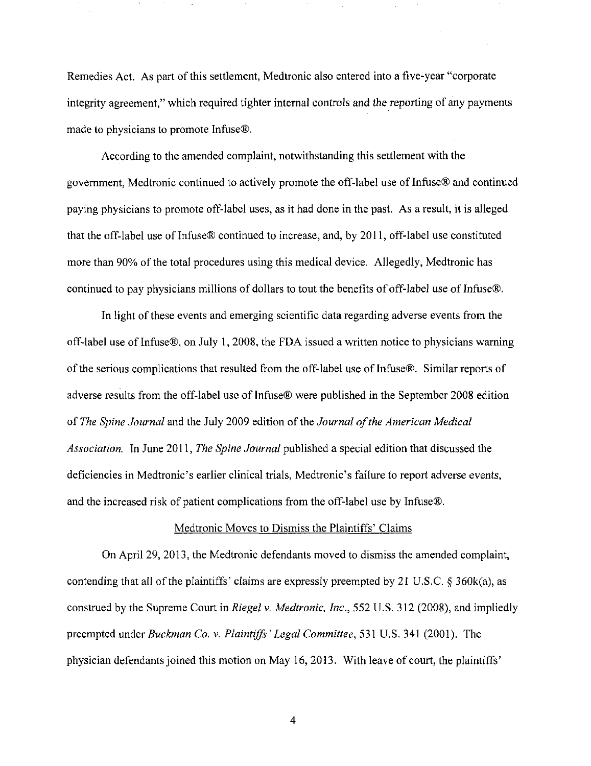Remedies Act. As part of this settlement, Medtronic also entered into a five-year "corporate integrity agreement," which required tighter internal controls and the reporting of any payments made to physicians to promote Infuse®.

According to the amended complaint, notwithstanding this settlement with the govemment, Medtronic confinued to actively promote the off-label use of Infuse® and continued paying physicians to promote off-label uses, as it had done in the past. As a result, it is alleged that the off-label use of Infuse® continued to increase, and, by 2011, off-label use constituted more than 90% of the total procedures using this medical device. Allegedly, Medtronic has continued to pay physicians millions of dollars to tout the benefits of off-label use of Infuse®,

In light of these events and emerging scientific data regarding adverse events from the off label use of Infuse®, on July 1, 2008, the FDA issued a written notice to physicians waming of the serious complications that resulted from the off-label use of Infuse®. Similar reports of adverse results from the off-label use of Infuse® were published in the September 2008 edition of The Spine Journal and the July 2009 edition of the Journal of the American Medical Association. In June 2011, The Spine Journal published a special edition that discussed the deficiencies in Medtronic's earlier clinical trials, Medtronic's failure to report adverse events, and the increased risk of patient complications from the off-label use by Infuse®.

## Medtronic Moves to Dismiss the Plaintiffs' Claims

On April 29, 2013, the Medtronic defendants moved to dismiss the amended complaint, contending that all of the plaintiffs' claims are expressly preempted by 21 U.S.C.  $\S$  360 $k$ (a), as construed by the Supreme Court in Riegel v. Medtronic, Inc., 552 U.S. 312 (2008), and impliedly preempted under Buckman Co. v. Plaintiffs' Legal Committee, 531 U.S. 341 (2001). The physician defendants joined this motion on May 16, 2013. With leave of court, the plaintiffs'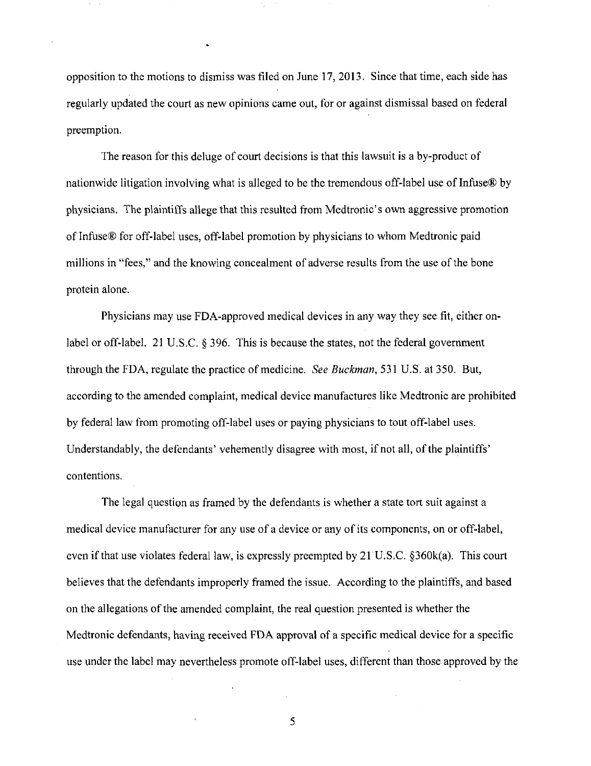opposition to the motions to dismiss was filed on June 17, 2013. Since that time, each side has regularly updated the court as new opinions came out, for or against dismissal based on federal preemption.

The reason for this deluge of court decisions is that this lawsuit is a by-product of nationwide litigation involving what is alleged to be the tremendous off-label use of Infuse® by physicians. The plaintiffs allege that this resulted from Medtronic's own aggressive promotion of Infuse® for off-label uses, off-label promotion by physicians to whom Medtronic paid millions in "fees," and the knowing concealment of adverse results from the use of the bone protein alone.

Physicians may use FDA-approved medical devices in any way they see fit, either onlabel or off-label. 21 U.S.C. § 396. This is because the states, not the federal government through the FDA, regulate the practice of medicine. See Buckman, 531 U.S. at 350. But, according to the amended complaint, medical device manufactures like Medtronic are prohibited by federal law from promoting off-label uses or paying physicians to tout off-label uses. Understandably, the defendants' vehemently disagree with most, if not all, of the plaintiffs' contentions.

The legal question as framed by the defendants is whether a state tort suit against a medical device manufacturer for any use of a device or any of its components, on or off-label, even if that use violates federal law, is expressly preempted by  $21^{\circ}$ U.S.C. §360k(a). This court believes that the defendants improperly framed the issue. According to the plaintiffs, and based on the allegations of the amended complaint, the real question presented is whether the Medtronic defendants, having received FDA approval of a specific medical device for a specific use under the label may nevertheless promote off-label uses, different than those approved by the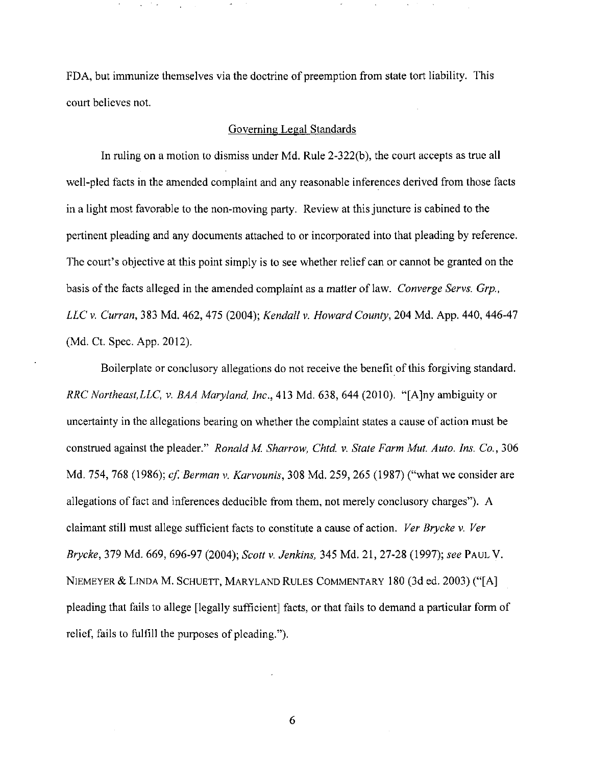FDA, but immunize themselves via the doctrine of preemption from state tort liability. This court believes not.

### Governing Legal Standards

In ruling on a motion to dismiss under Md. Rule 2-322(b), the court accepts as true all well-pled facts in the amended complaint and any reasonable inferences derived from those facts in a light most favorable to the non-moving party. Review at this juncture is cabined to the pertinent pleading and any documents attached to or incorporated into that pleading by reference. The court's objective at this point simply is to see whether relief can or cannot be granted on the basis of the facts alleged in the amended complaint as a matter of law. Converge Servs. Grp., LLC V. Curran, 383 Md. 462, 475 (2004); Kendall v. Howard County, 204 Md. App. 440, 446-47 (Md. Ct. Spec. App. 2012).

Boilerplate or conclusory allegations do not receive the benefit of this forgiving standard. RRC Northeast,LLC, v. BAA Maryland, Inc., 413 Md. 638, 644 (2010). "[A]ny ambiguity or uncertainty in the allegations bearing on whether the complaint states a cause of action must be construed against the pleader." Ronald M. Sharrow, Chtd. v. State Farm Mut. Auto. Ins. Co., 306 Md. 754, 768 (1986); cf. Berman v. Karvounis, 308 Md. 259, 265 (1987) ("what we consider are allegations of fact and inferences deducible from them, not merely conclusory charges"). A claimant still must allege sufficient facts to constitute a cause of action. Ver Brycke v. Ver Brycke, 379 Md. 669, 696-97 (2004); Scott v. Jenkins, 345 Md. 21, 27-28 (1997); see PAUL V. NIEMEYER & LINDA M. SCHUETT, MARYLAND RULES COMMENTARY 180 (3d ed. 2003) ("[A] pleading that fails to allege [legally sufficient] facts, or that fails to demand a particular form of relief, fails to fulfill the purposes of pleading.").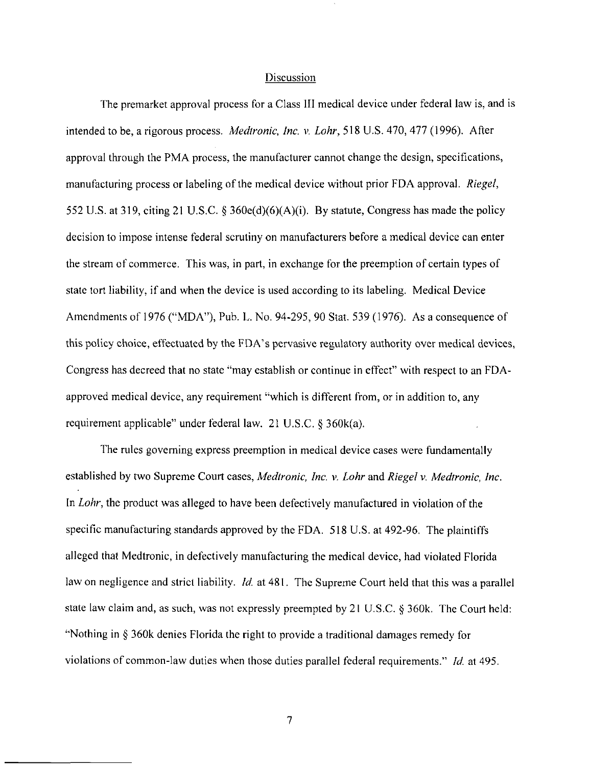#### Discussion

The premarket approval process for a Class III medical device under federal law is, and is intended to be, a rigorous process. Medtronic, Inc. v. Lohr, 518 U.S. 470, 477 (1996). After approval through the PMA process, the manufacturer cannot change the design, specifications, manufacturing process or labeling of the medical device without prior FDA approval. Riegel, 552 U.S. at 319, citing 21 U.S.C. § 360e(d)(6)(A)(i). By statute. Congress has made the policy decision to impose intense federal scrutiny on manufacturers before a medical device can enter the stream of commerce. This was, in part, in exchange for the preemption of certain types of state tort liability, if and when the device is used according to its labeling. Medical Device Amendments of 1976 ("MDA"), Pub. L. No. 94-295, 90 Stat. 539 (1976). As a consequence of this policy choice, effectuated by the FDA's pervasive regulatory authority over medical devices. Congress has decreed that no state "may establish or continue in effect" with respect to an FDAapproved medical device, any requirement "which is different from, or in addition to, any requirement applicable" under federal law. 21 U.S.C. § 360k(a).

The rules goveming express preemption in medical device cases were fundamentally established by two Supreme Court cases, Medtronic, Inc. v. Lohr and Riegel v. Medtronic, Inc. In *Lohr*, the product was alleged to have been defectively manufactured in violation of the specific manufacturing standards approved by the FDA. 518 U.S. at 492-96. The plaintiffs alleged that Medtronic, in defectively manufacturing the medical device, had violated Florida law on negligence and strict liability. *Id.* at 481. The Supreme Court held that this was a parallel state law claim and, as such, was not expressly preempted by 21 U.S.C. § 360k. The Court held: "Nothing in § 360k denies Florida the right to provide a traditional damages remedy for violations of common-law duties when those duties parallel federal requirements." Id. at 495.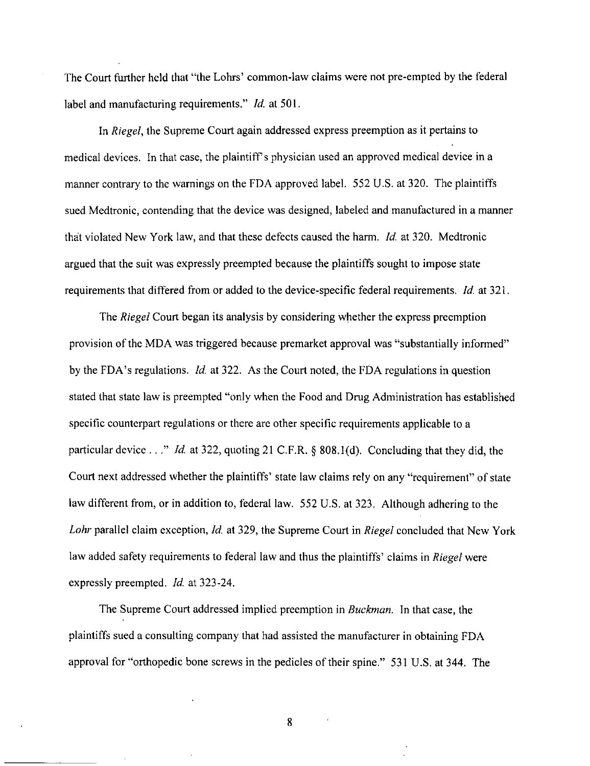The Court further held that "the Lohrs' common-law claims were not pre-empted by the federal label and manufacturing requirements." *Id.* at 501.

In Riegel, the Supreme Court again addressed express preemption as it pertains to medical devices. In that case, the plaintiff's physician used an approved medical device in a manner contrary to the warnings on the FDA approved label. 552 U.S. at 320. The plaintiffs sued Medtronic, contending that the device was designed, labeled and manufactured in a manner that violated New York law, and that these defects caused the harm. Id. at 320. Medtronic argued that the suit was expressly preempted because the plaintiffs sought to impose state requirements that differed from or added to the device-specific federal requirements. Id. at 321.

The Riegel Court began its analysis by considering whether the express preemption provision of the MDA was triggered because premarket approval was "substantially informed" by the FDA's regulations. Id. at 322. As the Court noted, the FDA regulations in question stated that state law is preempted "only when the Food and Drug Administration has established specific counterpart regulations or there are other specific requirements applicable to a particular device . . ." *Id.* at 322, quoting 21 C.F.R. § 808.1(d). Concluding that they did, the Court next addressed whether the plaintiffs' state law claims rely on any "requirement" of state law different from, or in addition to, federal law. 552 U.S. at 323. Although adhering to the Lohr parallel claim exception, Id. at 329, the Supreme Court in Riegel concluded that New York law added safety requirements to federal law and thus the plaintiffs' claims in Riegel were expressly preempted. *Id.* at 323-24.

The Supreme Court addressed implied preemption in Buckman. In that case, the plaintiffs sued a consulting company that had assisted the manufacturer in obtaining FDA approval for "orthopedic bone screws in the pedicles of their spine." 531 U.S. at 344. The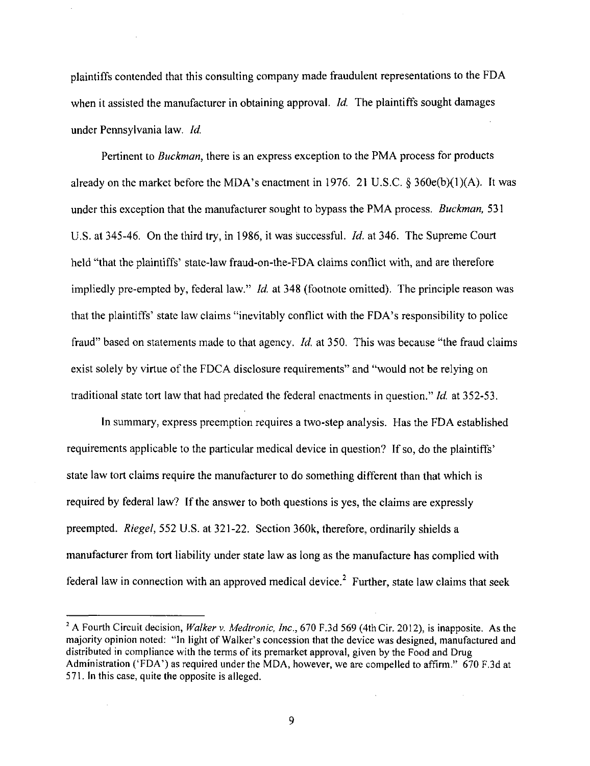plaintiffs contended that this consulting company made fraudulent representations to the FDA when it assisted the manufacturer in obtaining approval. *Id.* The plaintiffs sought damages under Pennsylvania law. Id.

Pertinent to Buckman, there is an express exception to the PMA process for products already on the market before the MDA's enactment in 1976. 21 U.S.C.  $\S 360e(b)(1)(A)$ . It was under this exception that the manufacturer sought to bypass the PMA process. *Buckman*, 531 U.S. at 345-46. On the third try, in 1986, it was successful. *Id.* at 346. The Supreme Court held "that the plaintiffs' state-law fraud-on-the-FDA claims conflict with, and are therefore impliedly pre-empted by, federal law." *Id.* at 348 (footnote omitted). The principle reason was that the plaintiffs' state law claims "inevitably conflict with the FDA's responsibility to police fraud" based on statements made to that agency. *Id.* at 350. This was because "the fraud claims" exist solely by virtue of the FDCA disclosure requirements" and "would not be relying on traditional state tort law that had predated the federal enactments in question." Id. at 352-53.

In summary, express preemption requires a two-step analysis. Has the FDA established requirements applicable to the particular medical device in question? If so, do the plaintiffs' state law tort claims require the manufacturer to do something different than that which is required by federal law? If the answer to both questions is yes, the claims are expressly preempted. Riegel, 552 U.S. at 321-22. Section 360k, therefore, ordinarily shields a manufacturer from tort liability under state law as long as the manufacture has complied with federal law in connection with an approved medical device.<sup>2</sup> Further, state law claims that seek

9

 $\bar{\bar{z}}$ 

<sup>&</sup>lt;sup>2</sup> A Fourth Circuit decision, Walker v. Medtronic, Inc., 670 F.3d 569 (4th Cir. 2012), is inapposite. As the majority opinion noted: "In light of Walker's concession that the device was designed, manufactured and distributed in compliance with the terms of its premarket approval, given by the Food and Drug Administration ('FDA') as required under the MDA, however, we are compelled to affirm." 670 F.3d at 571. In this case, quite the opposite is alleged.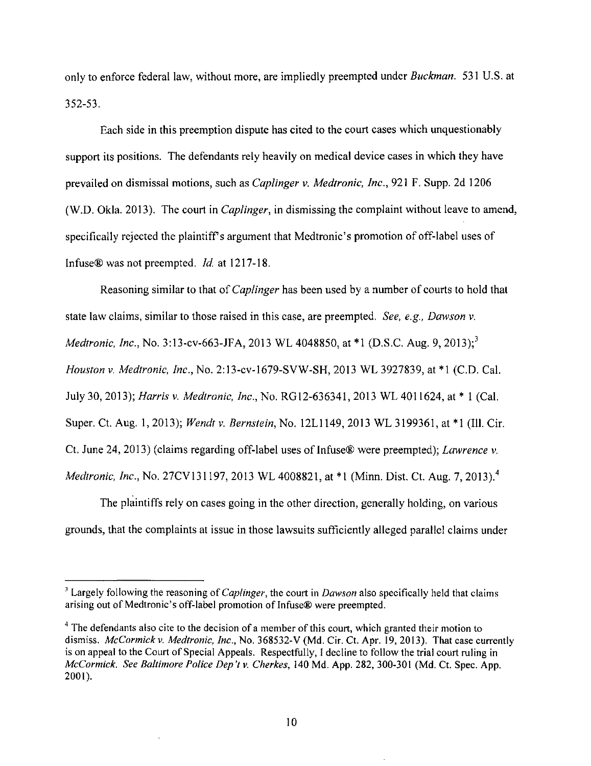only to enforce federal law, without more, are impliedly preempted under *Buckman*. 531 U.S. at 352-53.

Each side in this preemption dispute has cited to the court cases which unquestionably support its positions. The defendants rely heavily on medical device cases in which they have prevailed on dismissal motions, such as Caplinger v. Medtronic, Inc., 921 F. Supp. 2d 1206 (W.D. Okla. 2013). The court in Caplinger, in dismissing the complaint without leave to amend, specifically rejected the plaintiff's argument that Medtronic's promotion of off-label uses of Infuse® was not preempted. Id. at 1217-18.

Reasoning similar to that of *Caplinger* has been used by a number of courts to hold that state law claims, similar to those raised in this case, are preempted. See, e.g., Dawson v. Medtronic, Inc., No. 3:13-cv-663-JFA, 2013 WL 4048850, at \*1 (D.S.C. Aug. 9, 2013):<sup>3</sup> Houston V. Medtronic, Inc., No. 2:13-cv-l679-SVW-SH, 2013 WL 3927839, at \*1 (CD. Cal. July 30, 2013); Harris v. Medtronic, Inc., No. RG12-636341, 2013 WL 4011624, at \* 1 (Cal. Super. Ct. Aug. 1, 2013); Wendt v. Bernstein, No. 12L1149, 2013 WL 3199361, at \*1 (Ill. Cir. Ct. June 24, 2013) (claims regarding off-label uses of Infuse® were preempted); Lawrence v. Medtronic, Inc., No. 27CV131197, 2013 WL 4008821, at \*1 (Minn. Dist. Ct. Aug. 7. 2013).<sup>4</sup>

The plaintiffs rely on cases going in the other direction, generally holding, on various grounds, that the complaints at issue in those lawsuits sufficientiy alleged parallel claims under

<sup>&</sup>lt;sup>3</sup> Largely following the reasoning of *Caplinger*, the court in *Dawson* also specifically held that claims arising out of Medtronic's off-label promotion of Infuse® were preempted.

 $^4$  The defendants also cite to the decision of a member of this court, which granted their motion to dismiss. McCormick v. Medtronic, Inc., No. 368532-V (Md. Cir. Ct. Apr. 19, 2013). That case currently is on appeal to the Court of Special Appeals. Respectfully, I decline to follow the trial court ruling in McCormick. See Baltimore Police Dep't v. Cherkes, 140 Md. App. 282, 300-301 (Md. Ct. Spec. App. 2001).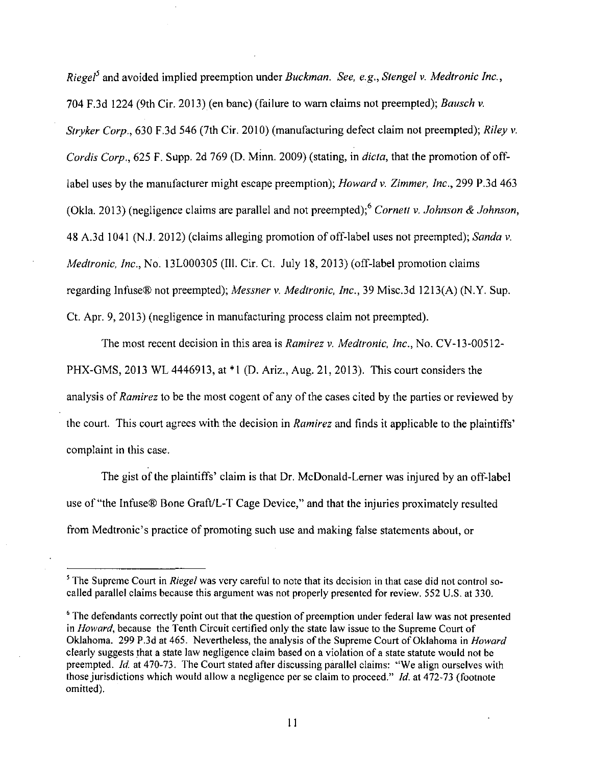Riegel<sup>5</sup> and avoided implied preemption under Buckman. See, e.g., Stengel v. Medtronic Inc., 704 F.3d 1224 (9th Cir. 2013) (en banc) (failure to wam claims not preempted); Bausch v. Stryker Corp., 630 F.3d 546 (7th Cir. 2010) (manufacturing defect claim not preempted); Riley v. Cordis Corp., 625 F. Supp. 2d 769 (D. Minn. 2009) (stating, in dicta, that the promotion of offlabel uses by the manufacturer might escape preemption); *Howard v. Zimmer*, *Inc.*, 299 P.3d 463 (Okla. 2013) (negligence claims are parallel and not preempted); Cornett v. Johnson & Johnson, 48 A.3d 1041 (N.J. 2012) (claims alleging promotion of off-label uses not preempted); Sanda v. Medtronic, Inc., No. 13L000305 (Ill. Cir. Ct. July 18, 2013) (off-label promotion claims regarding Infuse® not preempted); Messner v. Medtronic, Inc., 39 Misc.3d 1213(A) (N.Y. Sup. Ct. Apr. 9, 2013) (negligence in manufacturing process claim not preempted).

The most recent decision in this area is Ramirez v. Medtronic, Inc., No. CV-13-00512- PHX-GMS, 2013 WL 4446913, at \*l (D. Ariz., Aug. 21, 2013). This court considers the analysis of Ramirez to be the most cogent of any of the cases cited by the parties or reviewed by the court. This court agrees with the decision in Ramirez and finds it applicable to the plaintiffs' complaint in this case.

The gist of the plaintiffs' claim is that Dr. McDonald-Lerner was injured by an off-label use of "the Infuse® Bone Graft/L-T Cage Device," and that the injuries proximately resulted from Medtronic's practice of promoting such use and making false statements about, or

<sup>&</sup>lt;sup>5</sup> The Supreme Court in *Riegel* was very careful to note that its decision in that case did not control socalled parallel claims because this argument was not properly presented for review. 552 U.S. at 330.

<sup>&</sup>lt;sup>6</sup> The defendants correctly point out that the question of preemption under federal law was not presented in Howard, because the Tenth Circuit certified only the state law issue to the Supreme Court of Oklahoma. 299 P.3d at 465. Nevertheless, the analysis of the Supreme Court of Oklahoma in Howard clearly suggests that a state law negligence claim based on a violation of a state statute would not be preempted. Id. at 470-73. The Court stated after discussing parallel claims: "We align ourselves with those jurisdictions which would allow a negligence per se claim to proceed." Id. at 472-73 (footnote omitted).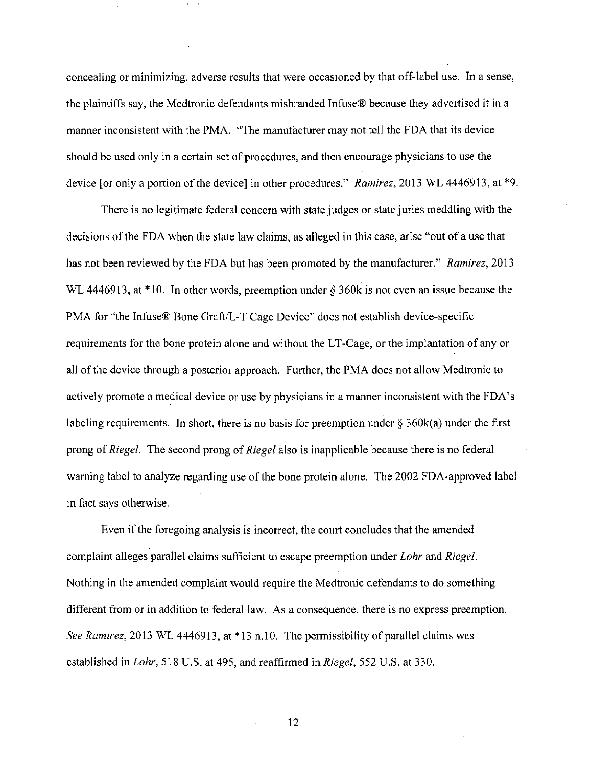concealing or minimizing, adverse results that were occasioned by that off-label use. In a sense, the plaintiffs say, the Medtronic defendants misbranded Infuse® because they advertised it in a manner inconsistent with the PMA. "The manufacturer may not tell the FDA that its device should be used only in a certain set of procedures, and then encourage physicians to use the device [or only a portion of the device] in other procedures." Ramirez, 2013 WL 4446913, at  $*9$ .

There is no legitimate federal concern with state judges or state juries meddling with the decisions of the FDA when the state law claims, as alleged in this case, arise "out of a use that has not been reviewed by the FDA but has been promoted by the manufacturer." Ramirez, 2013 WL 4446913, at \*10. In other words, preemption under § 360k is not even an issue because the PMA for "the Infuse® Bone Graft/L-T Cage Device" does not establish device-specific requirements for the bone protein alone and without the LT-Cage, or the implantation of any or all of the device through a posterior approach. Further, the PMA does not allow Medtronic to actively promote a medical device or use by physicians in a manner inconsistent with the FDA's labeling requirements. In short, there is no basis for preemption under  $\S 360k(a)$  under the first prong of Riegel. The second prong of Riegel also is inapplicable because there is no federal warning label to analyze regarding use of the bone protein alone. The 2002 FDA-approved label in fact says otherwise.

Even if the foregoing analysis is incorrect, the court concludes that the amended complaint alleges parallel claims sufficient to escape preemption under Lohr and Riegel. Nothing in the amended complaint would require the Medtronic defendants to do something different from or in addition to federal law. As a consequence, there is no express preemption. See Ramirez, 2013 WL 4446913, at \*13 n.10. The permissibility of parallel claims was established in Lohr, 518 U.S. at 495, and reaffirmed in Riegel, 552 U.S. at 330.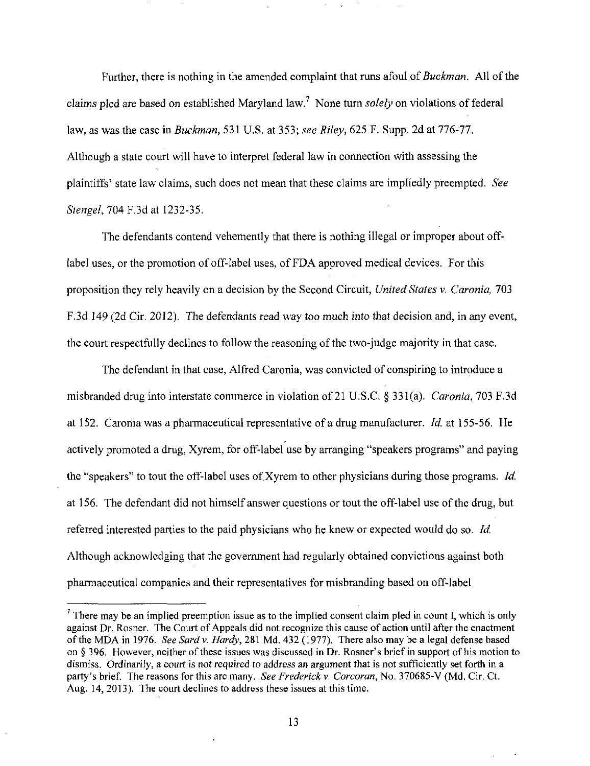Further, there is nothing in the amended complaint that runs afoul of *Buckman*. All of the claims pled are based on established Maryland law.<sup>7</sup> None turn solely on violations of federal law, as was the case in *Buckman*, 531 U.S. at 353; see Riley, 625 F. Supp. 2d at 776-77. Although a state court will have to interpret federal law in cormection with assessing the plaintiffs' state law claims, such does not mean that these claims are impliedly preempted. See Stengel, 704 F.3d at 1232-35.

The defendants contend vehemently that there is nothing illegal or improper about offlabel uses, or the promotion of off-label uses, of FDA approved medical devices. For this proposition they rely heavily on a decision by the Second Circuit, United States v. Caronia, 703 F.3d 149 (2d Cir. 2012). The defendants read way too much into that decision and, in any event, the court respectfully declines to follow the reasoning of the two-judge majority in that case.

The defendant in that case, Alfred Caronia, was convicted of conspiring to introduce a misbranded drug into interstate commerce in violation of 21 U.S.C. § 331(a). Caronia, 703 F.3d at 152. Caronia was a pharmaceutical representative of a drug manufacturer. *Id.* at 155-56, He actively promoted a drug, Xyrem, for off-label use by arranging "speakers programs" and paying the "speakers" to tout the off-label uses of Xyrem to other physicians during those programs. Id. at 156. The defendant did not himself answer questions or tout the off-label use of the drug, but referred interested parties to the paid physicians who he knew or expected would do so. Id. Although acknowledging that the govemment had regularly obtained convictions against both pharmaceutical companies and their representatives for misbranding based on off-label

 $^7$  There may be an implied preemption issue as to the implied consent claim pled in count I, which is only against Dr. Rosner. The Court of Appeals did not recognize this cause of action until after the enactment of the MDA in 1976. See Sard v. Hardy, 281 Md. 432 (1977). There also may be a legal defense based on § 396, However, neither of these issues was discussed in Dr. Rosner's brief in support of his motion to dismiss. Ordinarily, a court is not required to address an argument that is not sufficiently set forth in a party's brief. The reasons for this are many. See Frederick v. Corcoran, No. 370685-V (Md. Cir. Ct. Aug. 14, 2013). The court declines to address these issues at this time.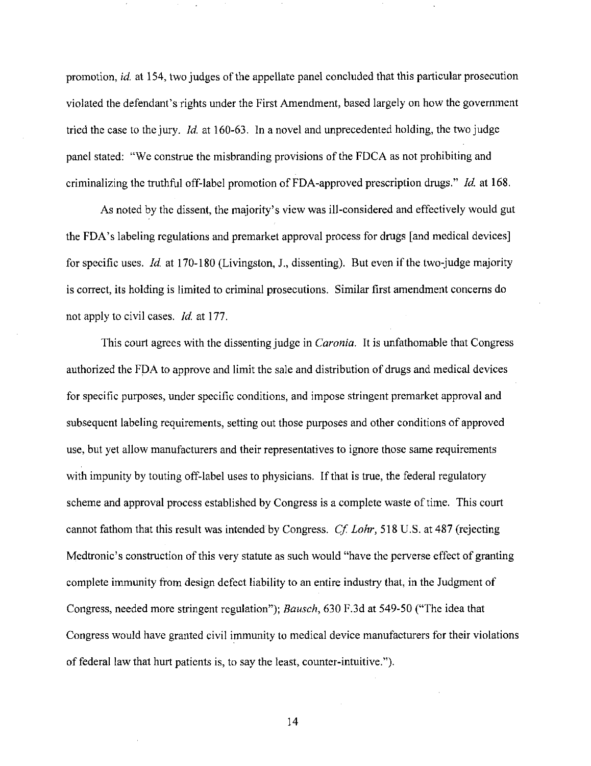promotion, id. at 154, two judges of the appellate panel concluded that this particular prosecution violated the defendant's rights under the First Amendment, based largely on how the govemment tried the case to the jury. *Id.* at 160-63. In a novel and unprecedented holding, the two judge panel stated: "We construe the misbranding provisions of the FDCA as not prohibiting and criminalizing the truthful off-label promotion of FDA-approved prescription drugs." Id. at 168.

As noted by the dissent, the majority's view was ill-considered and effectively would gut the FDA's labeling regulations and premarket approval process for drugs [and medical devices] for specific uses. Id. at  $170-180$  (Livingston, J., dissenting). But even if the two-judge majority is correct, its holding is limited to criminal prosecutions. Similar first amendment concems do not apply to civil cases. Id. at 177.

This court agrees with the dissenting judge in *Caronia*. It is unfathomable that Congress authorized the FDA to approve and limit the sale and distribution of dmgs and medical devices for specific purposes, under specific conditions, and impose stringent premarket approval and subsequent labeling requirements, setting out those purposes and other conditions of approved use, but yet allow manufacturers and their representatives to ignore those same requirements with impunity by touting off-label uses to physicians. If that is true, the federal regulatory scheme and approval process established by Congress is a complete waste of time. This court cannot fathom that this result was intended by Congress. Cf. Lohr, 518 U.S. at 487 (rejecting Medtronic's construction of this very statute as such would "have the perverse effect of granting complete immunity from design defect liability to an entire industry that, in the Judgment of Congress, needed more stringent regulation"); Bausch, 630 F.3d at 549-50 ("The idea that Congress would have granted civil immunity to medical device manufacturers for their violations of federal law that hurt patients is, to say the least, counter-intuitive.").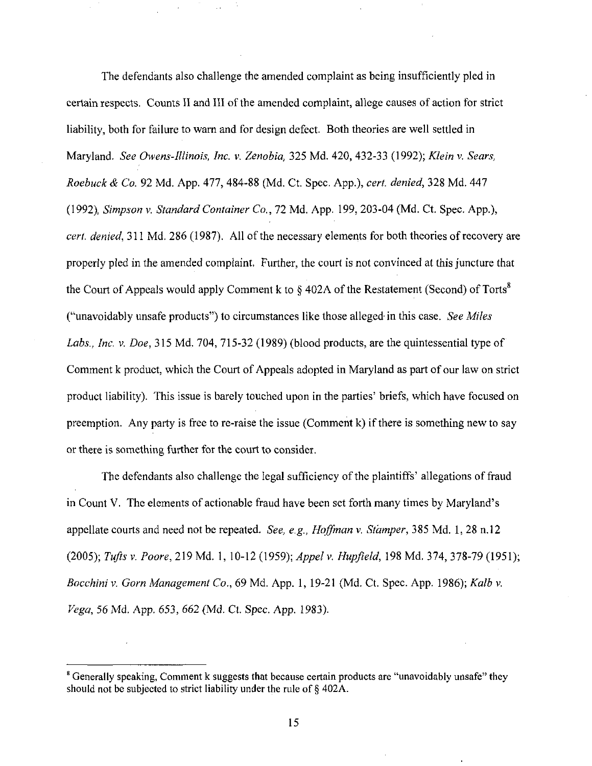The defendants also challenge the amended complaint as being insufficiently pled in certain respects. Counts II and III of the amended complaint, allege causes of action for strict liability, both for failure to wam and for design defect. Both theories are well settied in Maryland. See Owens-Illinois, Inc. v. Zenobia, 325 Md. 420, 432-33 (1992); Klein v. Sears, Roebuck & Co. 92 Md. App. 477, 484-88 (Md. Ct. Spec. App.), cert denied, 328 Md. 447 (1992), Simpson v. Standard Container Co., 72 Md. App. 199, 203-04 (Md. Ct Spec. App.), cert, denied, 311 Md. 286 (1987). All of the necessary elements for both theories of recovery are properly pled in the amended complaint. Further, the court is not convinced at this juncture that the Court of Appeals would apply Comment k to  $\S$  402A of the Restatement (Second) of Torts<sup>8</sup> ("unavoidably unsafe products") to circumstances like those alleged in this case. See Miles Labs., Inc. v. Doe, 315 Md. 704, 715-32 (1989) (blood products, are the quintessential type of Comment k product, which the Court of Appeals adopted in Maryland as part of our law on strict product liability). This issue is barely touched upon in the parties' briefs, which have focused on preemption. Any party is free to re-raise the issue (Comment k) if there is something new to say or there is something further for the court to consider.

The defendants also challenge the legal sufficiency of the plaintiffs' allegations of fraud in Count V. The elements of actionable fraud have been set forth many times by Maryland's appellate courts and need not be repeated. See, e.g., Hoffman v. Stamper, 385 Md. 1, 28 n.12 (2005); Tufts v. Poore, 219 Md. 1, 10-12 (1959); Appel v. Hupfield, 198 Md. 374, 378-79 (1951); Bocchini v. Gorn Management Co., 69 Md. App. 1, 19-21 (Md. Ct. Spec. App. 1986); Kalb v. Vega, 56 Md. App. 653, 662 (Md. Ct. Spec. App. 1983).

 $\beta$  Generally speaking, Comment k suggests that because certain products are "unavoidably unsafe" they should not be subjected to strict liability under the rule of § 402A.